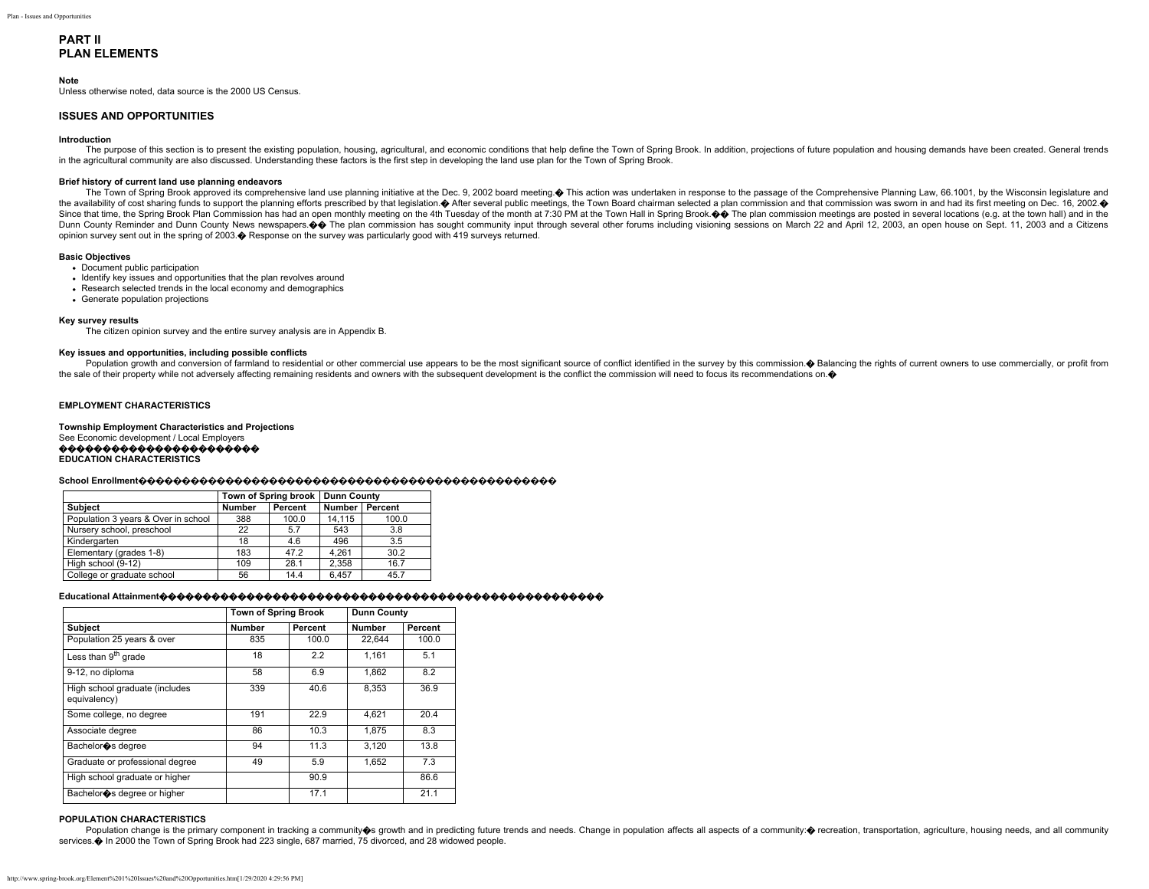# **PART II PLAN ELEMENTS**

### **Note**

Unless otherwise noted, data source is the 2000 US Census.

### **ISSUES AND OPPORTUNITIES**

### **Introduction**

The purpose of this section is to present the existing population, housing, agricultural, and economic conditions that help define the Town of Spring Brook. In addition, projections of future population and housing demands in the agricultural community are also discussed. Understanding these factors is the first step in developing the land use plan for the Town of Spring Brook.

#### **Brief history of current land use planning endeavors**

The Town of Spring Brook approved its comprehensive land use planning initiative at the Dec. 9, 2002 board meeting. This action was undertaken in response to the passage of the Comprehensive Planning Law, 66.1001, by the W the availability of cost sharing funds to support the planning efforts prescribed by that legislation. After several public meetings, the Town Board chairman selected a plan commission and that commission was sworn in and Since that time, the Spring Brook Plan Commission has had an open monthly meeting on the 4th Tuesday of the month at 7:30 PM at the Town Hall in Spring Brook.  $\diamondsuit$  The plan commission meetings are posted in several locati Dunn County Reminder and Dunn County News newspapers. OO The plan commission has sought community input through several other forums including visioning sessions on March 22 and April 12, 2003, an open house on Sept. 11, 2 opinion survey sent out in the spring of 2003.� Response on the survey was particularly good with 419 surveys returned.

#### **Basic Objectives**

- Document public participation
- Identify key issues and opportunities that the plan revolves around
- Research selected trends in the local economy and demographics
- Generate population projections

#### **Key survey results**

The citizen opinion survey and the entire survey analysis are in Appendix B.

#### **Key issues and opportunities, including possible conflicts**

Population growth and conversion of farmland to residential or other commercial use appears to be the most significant source of conflict identified in the survey by this commission. O Balancing the rights of current owner the sale of their property while not adversely affecting remaining residents and owners with the subsequent development is the conflict the commission will need to focus its recommendations on. $\bullet$ 

## **EMPLOYMENT CHARACTERISTICS**

**Township Employment Characteristics and Projections** See Economic development / Local Employers ����������������������� **EDUCATION CHARACTERISTICS**

## **School Enrollment������������������������������������������������**

|                                     |               | Town of Spring brook | <b>Dunn County</b> |       |
|-------------------------------------|---------------|----------------------|--------------------|-------|
| <b>Subject</b>                      | <b>Number</b> | Percent              | Number   Percent   |       |
| Population 3 years & Over in school | 388           | 100.0                | 14.115             | 100.0 |
| Nursery school, preschool           | 22            | 5.7                  | 543                | 3.8   |
| Kindergarten                        | 18            | 4.6                  | 496                | 3.5   |
| Elementary (grades 1-8)             | 183           | 47.2                 | 4.261              | 30.2  |
| High school (9-12)                  | 109           | 28.1                 | 2.358              | 16.7  |
| College or graduate school          | 56            | 14.4                 | 6.457              | 45.7  |

### **Educational Attainment**���������������������������������������������������

|                                                | <b>Town of Spring Brook</b> |         |        | <b>Dunn County</b> |
|------------------------------------------------|-----------------------------|---------|--------|--------------------|
| <b>Subject</b>                                 | Number                      | Percent | Number | Percent            |
| Population 25 years & over                     | 835                         | 100.0   | 22.644 | 100.0              |
| Less than 9 <sup>th</sup> grade                | 18                          | 2.2     | 1.161  | 5.1                |
| 9-12, no diploma                               | 58                          | 6.9     | 1.862  | 8.2                |
| High school graduate (includes<br>equivalency) | 339                         | 40.6    | 8.353  | 36.9               |
| Some college, no degree                        | 191                         | 22.9    | 4.621  | 20.4               |
| Associate degree                               | 86                          | 10.3    | 1.875  | 8.3                |
| Bachelor os degree                             | 94                          | 11.3    | 3.120  | 13.8               |
| Graduate or professional degree                | 49                          | 5.9     | 1.652  | 7.3                |
| High school graduate or higher                 |                             | 90.9    |        | 86.6               |
| Bachelor os degree or higher                   |                             | 17.1    |        | 21.1               |

### **POPULATION CHARACTERISTICS**

Population change is the primary component in tracking a community S growth and in predicting future trends and needs. Change in population affects all aspects of a community: O recreation, transportation, agriculture, hou services. $\spadesuit$  In 2000 the Town of Spring Brook had 223 single, 687 married, 75 divorced, and 28 widowed people.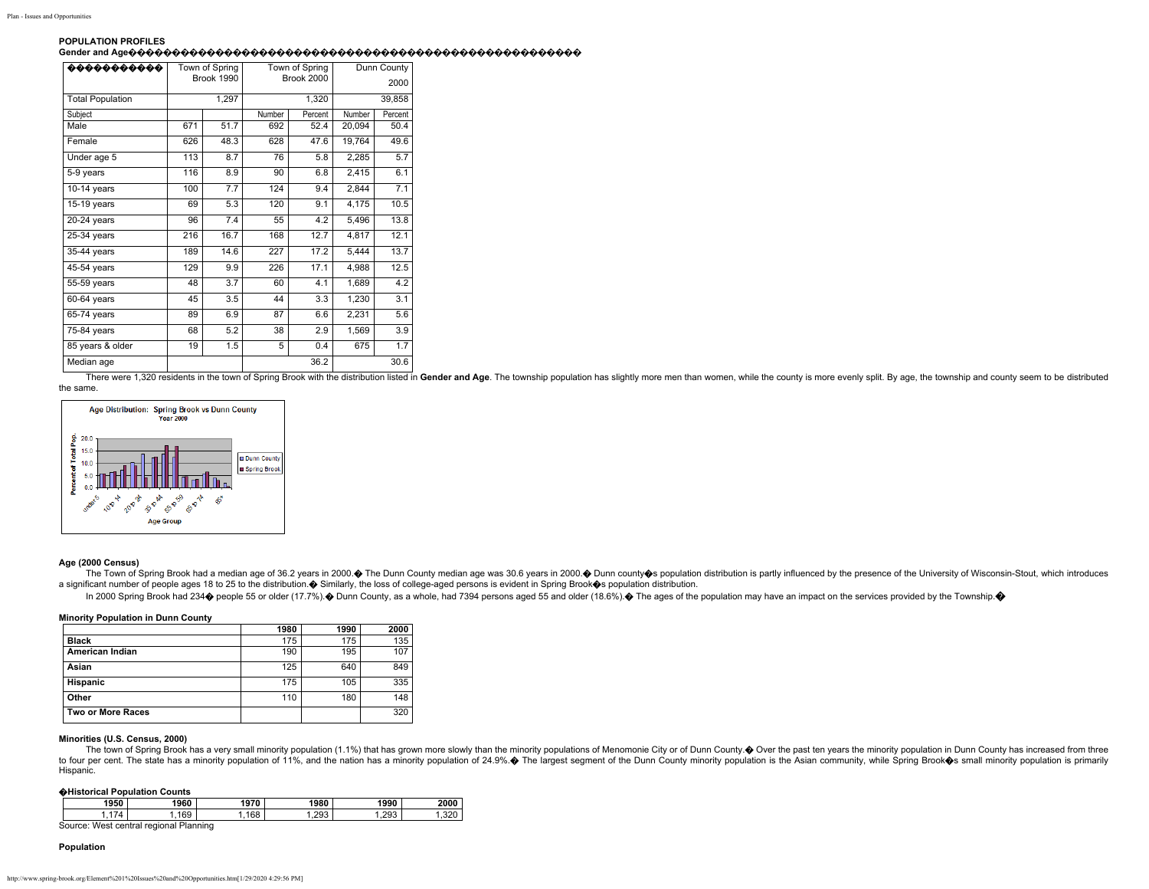### **POPULATION PROFILES Gender and Age����������������������������������������������������**

| 00000000000             |     | Town of Spring<br>Brook 1990 | Town of Spring<br><b>Brook 2000</b> |         | Dunn County<br>2000 |         |
|-------------------------|-----|------------------------------|-------------------------------------|---------|---------------------|---------|
| <b>Total Population</b> |     | 1,297                        |                                     | 1,320   | 39,858              |         |
| Subject                 |     |                              | Number                              | Percent | Number              | Percent |
| Male                    | 671 | 51.7                         | 692                                 | 52.4    | 20,094              | 50.4    |
| Female                  | 626 | 48.3                         | 628                                 | 47.6    | 19,764              | 49.6    |
| Under age 5             | 113 | 8.7                          | 76                                  | 5.8     | 2,285               | 5.7     |
| 5-9 years               | 116 | 8.9                          | 90                                  | 6.8     | 2,415               | 6.1     |
| $10-14$ years           | 100 | 7.7                          | 124                                 | 9.4     | 2,844               | 7.1     |
| $15-19$ years           | 69  | 5.3                          | 120                                 | 9.1     | 4,175               | 10.5    |
| $20-24$ years           | 96  | 7.4                          | 55                                  | 4.2     | 5,496               | 13.8    |
| 25-34 years             | 216 | 16.7                         | 168                                 | 12.7    | 4,817               | 12.1    |
| 35-44 years             | 189 | 14.6                         | 227                                 | 17.2    | 5,444               | 13.7    |
| $45-54$ years           | 129 | 9.9                          | 226                                 | 17.1    | 4,988               | 12.5    |
| 55-59 years             | 48  | 3.7                          | 60                                  | 4.1     | 1,689               | 4.2     |
| 60-64 years             | 45  | 3.5                          | 44                                  | 3.3     | 1,230               | 3.1     |
| 65-74 years             | 89  | 6.9                          | 87                                  | 6.6     | 2,231               | 5.6     |
| $75-84$ years           | 68  | 5.2                          | 38                                  | 2.9     | 1,569               | 3.9     |
| 85 years & older        | 19  | 1.5                          | 5                                   | 0.4     | 675                 | 1.7     |
| Median age              |     |                              |                                     | 36.2    |                     | 30.6    |

There were 1,320 residents in the town of Spring Brook with the distribution listed in Gender and Age. The township population has slightly more men than women, while the county is more evenly split. By age, the township a the same.



### **Age (2000 Census)**

The Town of Spring Brook had a median age of 36.2 years in 2000. The Dunn County median age was 30.6 years in 2000. Ounn county Os population distribution is partly influenced by the presence of the University of Wisconsin a significant number of people ages 18 to 25 to the distribution. $\bullet$  Similarly, the loss of college-aged persons is evident in Spring Brook $\bullet$ s population distribution.

In 2000 Spring Brook had 234 $\bullet$  people 55 or older (17.7%). $\bullet$  Dunn County, as a whole, had 7394 persons aged 55 and older (18.6%). $\bullet$  The ages of the population may have an impact on the services provided by the Townsh

### **Minority Population in Dunn County**

|                   | 1980 | 1990 | 2000 |
|-------------------|------|------|------|
| <b>Black</b>      | 175  | 175  | 135  |
| American Indian   | 190  | 195  | 107  |
| Asian             | 125  | 640  | 849  |
| Hispanic          | 175  | 105  | 335  |
| Other             | 110  | 180  | 148  |
| Two or More Races |      |      | 320  |

### **Minorities (U.S. Census, 2000)**

The town of Spring Brook has a very small minority population (1.1%) that has grown more slowly than the minority populations of Menomonie City or of Dunn County. O Over the past ten years the minority population in Dunn C to four per cent. The state has a minority population of 11%, and the nation has a minority population of 24.9%. The largest segment of the Dunn County minority population is the Asian community, while Spring Brook S small Hispanic.

#### �**Historical Population Counts**

| 1950 |  | 1960   | 1970 | 1980 | 1990 | 2000  |
|------|--|--------|------|------|------|-------|
|      |  | 169    | 168  | .293 | .293 | ، ے ب |
| .    |  | $\sim$ |      |      |      |       |

Source: West central regional Planning

### **Population**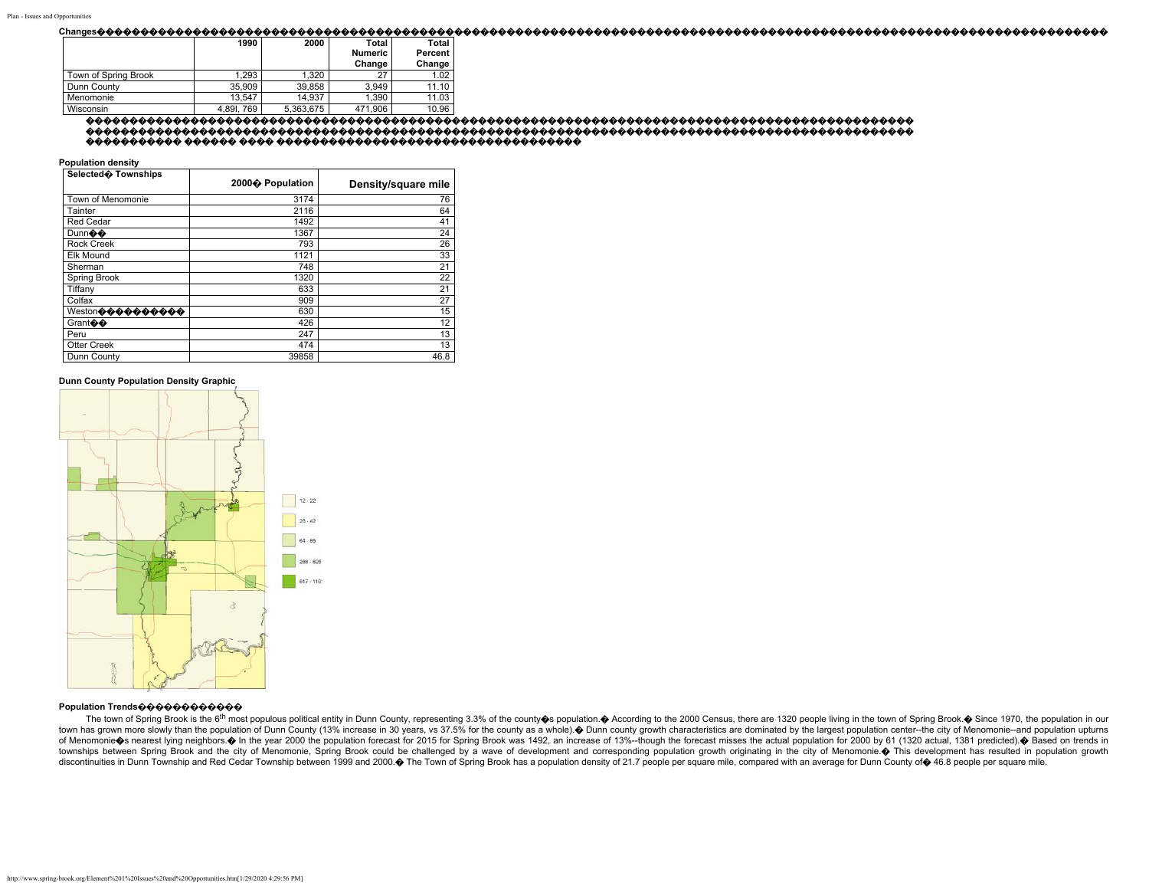#### 

|                      | 1990      | 2000      | Total          | Total   |
|----------------------|-----------|-----------|----------------|---------|
|                      |           |           | <b>Numeric</b> | Percent |
|                      |           |           | Change         | Change  |
| Town of Spring Brook | 1.293     | 1.320     | 27             | 1.02    |
| Dunn County          | 35,909    | 39.858    | 3.949          | 11.10   |
| Menomonie            | 13.547    | 14.937    | 1,390          | 11.03   |
| Wisconsin            | 4,891,769 | 5,363,675 | 471.906        | 10.96   |

#### 

**Population density** 

| Selected� Townships         | 2000� Population | Density/square mile |
|-----------------------------|------------------|---------------------|
| Town of Menomonie           | 3174             | 76                  |
| Tainter                     | 2116             | 64                  |
| <b>Red Cedar</b>            | 1492             | 41                  |
| Dunnoto                     | 1367             | 24                  |
| <b>Rock Creek</b>           | 793              | 26                  |
| <b>Elk Mound</b>            | 1121             | 33                  |
| Sherman                     | 748              | 21                  |
| <b>Spring Brook</b>         | 1320             | 22                  |
| Tiffany                     | 633              | 21                  |
| Colfax                      | 909              | 27                  |
| Weston��������              | 630              | 15                  |
| Grant $\clubsuit\spadesuit$ | 426              | 12                  |
| Peru                        | 247              | 13                  |
| Otter Creek                 | 474              | 13                  |
| Dunn County                 | 39858            | 46.8                |

#### Dunn County Population Density Graphic



# Population Trends�����������

The town of Spring Brook is the 6<sup>th</sup> most populous political entity in Dunn County, representing 3.3% of the county os population. A According to the 2000 Census, there are 1320 people living in the town of Spring Brook. town has grown more slowly than the population of Dunn County (13% increase in 30 years, vs 37.5% for the county as a whole). Dunn county growth characteristics are dominated by the largest population center--the city of M of Menomonie S nearest lying neighbors. In the year 2000 the population forecast for 2015 for Spring Brook was 1492, an increase of 13%--though the forecast misses the actual population for 2000 by 61 (1320 actual, 1381 pr townships between Spring Brook and the city of Menomonie, Spring Brook could be challenged by a wave of development and corresponding population growth originating in the city of Menomonie. ♦ This development has resulted discontinuities in Dunn Township and Red Cedar Township between 1999 and 2000. The Town of Spring Brook has a population density of 21.7 people per square mile, compared with an average for Dunn County of \$46.8 people per